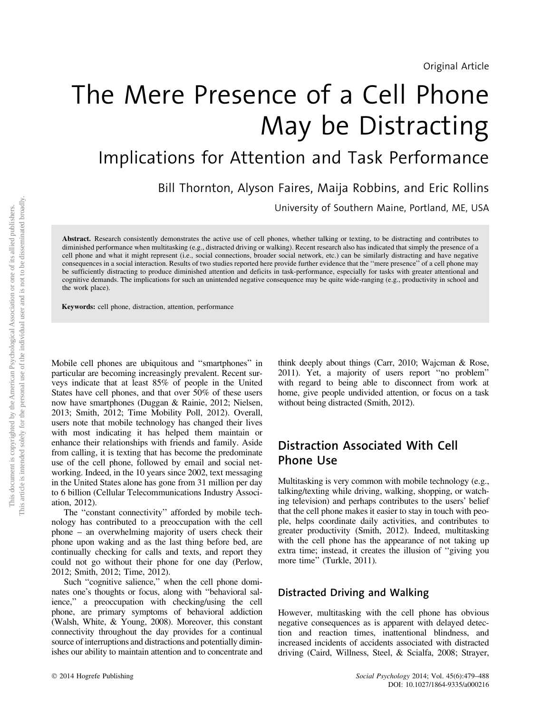# The Mere Presence of a Cell Phone May be Distracting

Implications for Attention and Task Performance

Bill Thornton, Alyson Faires, Maija Robbins, and Eric Rollins

University of Southern Maine, Portland, ME, USA

Abstract. Research consistently demonstrates the active use of cell phones, whether talking or texting, to be distracting and contributes to diminished performance when multitasking (e.g., distracted driving or walking). Recent research also has indicated that simply the presence of a cell phone and what it might represent (i.e., social connections, broader social network, etc.) can be similarly distracting and have negative consequences in a social interaction. Results of two studies reported here provide further evidence that the ''mere presence'' of a cell phone may be sufficiently distracting to produce diminished attention and deficits in task-performance, especially for tasks with greater attentional and cognitive demands. The implications for such an unintended negative consequence may be quite wide-ranging (e.g., productivity in school and the work place).

Keywords: cell phone, distraction, attention, performance

Mobile cell phones are ubiquitous and ''smartphones'' in particular are becoming increasingly prevalent. Recent surveys indicate that at least 85% of people in the United States have cell phones, and that over 50% of these users now have smartphones (Duggan & Rainie, 2012; Nielsen, 2013; Smith, 2012; Time Mobility Poll, 2012). Overall, users note that mobile technology has changed their lives with most indicating it has helped them maintain or enhance their relationships with friends and family. Aside from calling, it is texting that has become the predominate use of the cell phone, followed by email and social networking. Indeed, in the 10 years since 2002, text messaging in the United States alone has gone from 31 million per day to 6 billion (Cellular Telecommunications Industry Association, 2012).

The ''constant connectivity'' afforded by mobile technology has contributed to a preoccupation with the cell phone – an overwhelming majority of users check their phone upon waking and as the last thing before bed, are continually checking for calls and texts, and report they could not go without their phone for one day (Perlow, 2012; Smith, 2012; Time, 2012).

Such "cognitive salience," when the cell phone dominates one's thoughts or focus, along with ''behavioral salience,'' a preoccupation with checking/using the cell phone, are primary symptoms of behavioral addiction (Walsh, White, & Young, 2008). Moreover, this constant connectivity throughout the day provides for a continual source of interruptions and distractions and potentially diminishes our ability to maintain attention and to concentrate and

think deeply about things (Carr, 2010; Wajcman & Rose, 2011). Yet, a majority of users report ''no problem'' with regard to being able to disconnect from work at home, give people undivided attention, or focus on a task without being distracted (Smith, 2012).

# Distraction Associated With Cell Phone Use

Multitasking is very common with mobile technology (e.g., talking/texting while driving, walking, shopping, or watching television) and perhaps contributes to the users' belief that the cell phone makes it easier to stay in touch with people, helps coordinate daily activities, and contributes to greater productivity (Smith, 2012). Indeed, multitasking with the cell phone has the appearance of not taking up extra time; instead, it creates the illusion of ''giving you more time'' (Turkle, 2011).

### Distracted Driving and Walking

However, multitasking with the cell phone has obvious negative consequences as is apparent with delayed detection and reaction times, inattentional blindness, and increased incidents of accidents associated with distracted driving (Caird, Willness, Steel, & Scialfa, 2008; Strayer,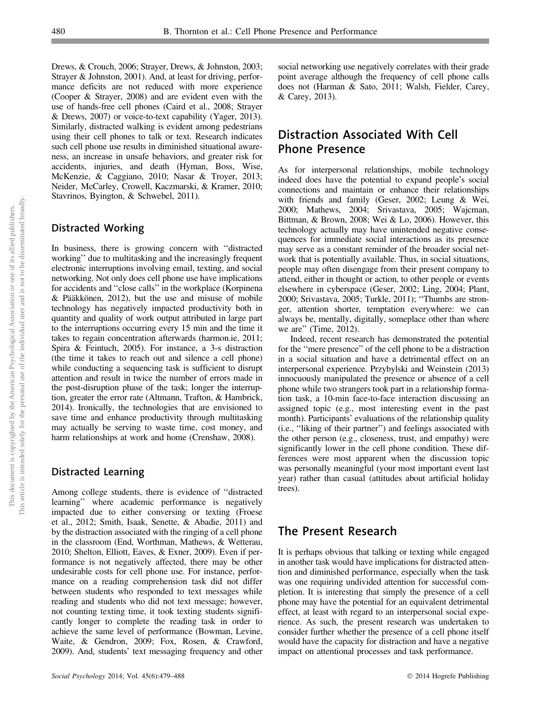Drews, & Crouch, 2006; Strayer, Drews, & Johnston, 2003; Strayer & Johnston, 2001). And, at least for driving, performance deficits are not reduced with more experience (Cooper & Strayer, 2008) and are evident even with the use of hands-free cell phones (Caird et al., 2008; Strayer & Drews, 2007) or voice-to-text capability (Yager, 2013). Similarly, distracted walking is evident among pedestrians using their cell phones to talk or text. Research indicates such cell phone use results in diminished situational awareness, an increase in unsafe behaviors, and greater risk for accidents, injuries, and death (Hyman, Boss, Wise, McKenzie, & Caggiano, 2010; Nasar & Troyer, 2013; Neider, McCarley, Crowell, Kaczmarski, & Kramer, 2010; Stavrinos, Byington, & Schwebel, 2011).

## Distracted Working

In business, there is growing concern with ''distracted working'' due to multitasking and the increasingly frequent electronic interruptions involving email, texting, and social networking. Not only does cell phone use have implications for accidents and ''close calls'' in the workplace (Korpinena  $&$  Pääkkönen, 2012), but the use and misuse of mobile technology has negatively impacted productivity both in quantity and quality of work output attributed in large part to the interruptions occurring every 15 min and the time it takes to regain concentration afterwards (harmon.ie, 2011; Spira & Feintuch, 2005). For instance, a 3-s distraction (the time it takes to reach out and silence a cell phone) while conducting a sequencing task is sufficient to disrupt attention and result in twice the number of errors made in the post-disruption phase of the task; longer the interruption, greater the error rate (Altmann, Trafton, & Hambrick, 2014). Ironically, the technologies that are envisioned to save time and enhance productivity through multitasking may actually be serving to waste time, cost money, and harm relationships at work and home (Crenshaw, 2008).

### Distracted Learning

Among college students, there is evidence of ''distracted learning'' where academic performance is negatively impacted due to either conversing or texting (Froese et al., 2012; Smith, Isaak, Senette, & Abadie, 2011) and by the distraction associated with the ringing of a cell phone in the classroom (End, Worthman, Mathews, & Wetterau, 2010; Shelton, Elliott, Eaves, & Exner, 2009). Even if performance is not negatively affected, there may be other undesirable costs for cell phone use. For instance, performance on a reading comprehension task did not differ between students who responded to text messages while reading and students who did not text message; however, not counting texting time, it took texting students significantly longer to complete the reading task in order to achieve the same level of performance (Bowman, Levine, Waite, & Gendron, 2009; Fox, Rosen, & Crawford, 2009). And, students' text messaging frequency and other

social networking use negatively correlates with their grade point average although the frequency of cell phone calls does not (Harman & Sato, 2011; Walsh, Fielder, Carey, & Carey, 2013).

# Distraction Associated With Cell Phone Presence

As for interpersonal relationships, mobile technology indeed does have the potential to expand people's social connections and maintain or enhance their relationships with friends and family (Geser, 2002; Leung & Wei, 2000; Mathews, 2004; Srivastava, 2005; Wajcman, Bittman, & Brown, 2008; Wei & Lo, 2006). However, this technology actually may have unintended negative consequences for immediate social interactions as its presence may serve as a constant reminder of the broader social network that is potentially available. Thus, in social situations, people may often disengage from their present company to attend, either in thought or action, to other people or events elsewhere in cyberspace (Geser, 2002; Ling, 2004; Plant, 2000; Srivastava, 2005; Turkle, 2011); ''Thumbs are stronger, attention shorter, temptation everywhere: we can always be, mentally, digitally, someplace other than where we are'' (Time, 2012).

Indeed, recent research has demonstrated the potential for the ''mere presence'' of the cell phone to be a distraction in a social situation and have a detrimental effect on an interpersonal experience. Przybylski and Weinstein (2013) innocuously manipulated the presence or absence of a cell phone while two strangers took part in a relationship formation task, a 10-min face-to-face interaction discussing an assigned topic (e.g., most interesting event in the past month). Participants' evaluations of the relationship quality (i.e., ''liking of their partner'') and feelings associated with the other person (e.g., closeness, trust, and empathy) were significantly lower in the cell phone condition. These differences were most apparent when the discussion topic was personally meaningful (your most important event last year) rather than casual (attitudes about artificial holiday trees).

# The Present Research

It is perhaps obvious that talking or texting while engaged in another task would have implications for distracted attention and diminished performance, especially when the task was one requiring undivided attention for successful completion. It is interesting that simply the presence of a cell phone may have the potential for an equivalent detrimental effect, at least with regard to an interpersonal social experience. As such, the present research was undertaken to consider further whether the presence of a cell phone itself would have the capacity for distraction and have a negative impact on attentional processes and task performance.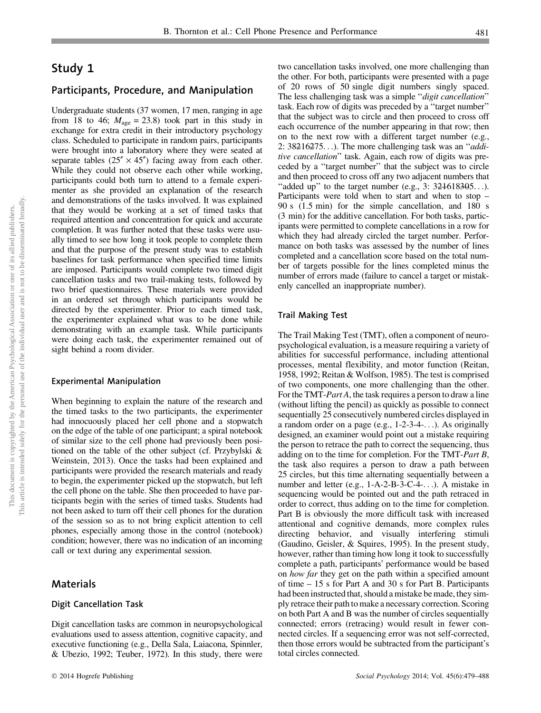# Study 1

#### Participants, Procedure, and Manipulation

Undergraduate students (37 women, 17 men, ranging in age from 18 to 46;  $M_{\text{age}} = 23.8$ ) took part in this study in exchange for extra credit in their introductory psychology class. Scheduled to participate in random pairs, participants were brought into a laboratory where they were seated at separate tables  $(25'' \times 45'')$  facing away from each other. While they could not observe each other while working, participants could both turn to attend to a female experimenter as she provided an explanation of the research and demonstrations of the tasks involved. It was explained that they would be working at a set of timed tasks that required attention and concentration for quick and accurate completion. It was further noted that these tasks were usually timed to see how long it took people to complete them and that the purpose of the present study was to establish baselines for task performance when specified time limits are imposed. Participants would complete two timed digit cancellation tasks and two trail-making tests, followed by two brief questionnaires. These materials were provided in an ordered set through which participants would be directed by the experimenter. Prior to each timed task, the experimenter explained what was to be done while demonstrating with an example task. While participants were doing each task, the experimenter remained out of sight behind a room divider.

#### Experimental Manipulation

When beginning to explain the nature of the research and the timed tasks to the two participants, the experimenter had innocuously placed her cell phone and a stopwatch on the edge of the table of one participant; a spiral notebook of similar size to the cell phone had previously been positioned on the table of the other subject (cf. Przybylski & Weinstein, 2013). Once the tasks had been explained and participants were provided the research materials and ready to begin, the experimenter picked up the stopwatch, but left the cell phone on the table. She then proceeded to have participants begin with the series of timed tasks. Students had not been asked to turn off their cell phones for the duration of the session so as to not bring explicit attention to cell phones, especially among those in the control (notebook) condition; however, there was no indication of an incoming call or text during any experimental session.

#### Materials

#### Digit Cancellation Task

Digit cancellation tasks are common in neuropsychological evaluations used to assess attention, cognitive capacity, and executive functioning (e.g., Della Sala, Laiacona, Spinnler, & Ubezio, 1992; Teuber, 1972). In this study, there were two cancellation tasks involved, one more challenging than the other. For both, participants were presented with a page of 20 rows of 50 single digit numbers singly spaced. The less challenging task was a simple "digit cancellation" task. Each row of digits was preceded by a ''target number'' that the subject was to circle and then proceed to cross off each occurrence of the number appearing in that row; then on to the next row with a different target number (e.g., 2:  $38216275...$ ). The more challenging task was an "*addi*tive cancellation'' task. Again, each row of digits was preceded by a ''target number'' that the subject was to circle and then proceed to cross off any two adjacent numbers that "added up" to the target number (e.g.,  $3: 324618305...$ ). Participants were told when to start and when to stop – 90 s (1.5 min) for the simple cancellation, and 180 s (3 min) for the additive cancellation. For both tasks, participants were permitted to complete cancellations in a row for which they had already circled the target number. Performance on both tasks was assessed by the number of lines completed and a cancellation score based on the total number of targets possible for the lines completed minus the number of errors made (failure to cancel a target or mistakenly cancelled an inappropriate number).

#### Trail Making Test

The Trail Making Test (TMT), often a component of neuropsychological evaluation, is a measure requiring a variety of abilities for successful performance, including attentional processes, mental flexibility, and motor function (Reitan, 1958, 1992; Reitan & Wolfson, 1985). The test is comprised of two components, one more challenging than the other. For the TMT-Part A, the task requires a person to draw a line (without lifting the pencil) as quickly as possible to connect sequentially 25 consecutively numbered circles displayed in a random order on a page (e.g., 1-2-3-4-...). As originally designed, an examiner would point out a mistake requiring the person to retrace the path to correct the sequencing, thus adding on to the time for completion. For the TMT-Part B, the task also requires a person to draw a path between 25 circles, but this time alternating sequentially between a number and letter (e.g., 1-A-2-B-3-C-4-...). A mistake in sequencing would be pointed out and the path retraced in order to correct, thus adding on to the time for completion. Part B is obviously the more difficult task with increased attentional and cognitive demands, more complex rules directing behavior, and visually interfering stimuli (Gaudino, Geisler, & Squires, 1995). In the present study, however, rather than timing how long it took to successfully complete a path, participants' performance would be based on how far they get on the path within a specified amount of time – 15 s for Part A and 30 s for Part B. Participants had been instructed that, should a mistake be made, they simply retrace their path to make a necessary correction. Scoring on both Part A and B was the number of circles sequentially connected; errors (retracing) would result in fewer connected circles. If a sequencing error was not self-corrected, then those errors would be subtracted from the participant's total circles connected.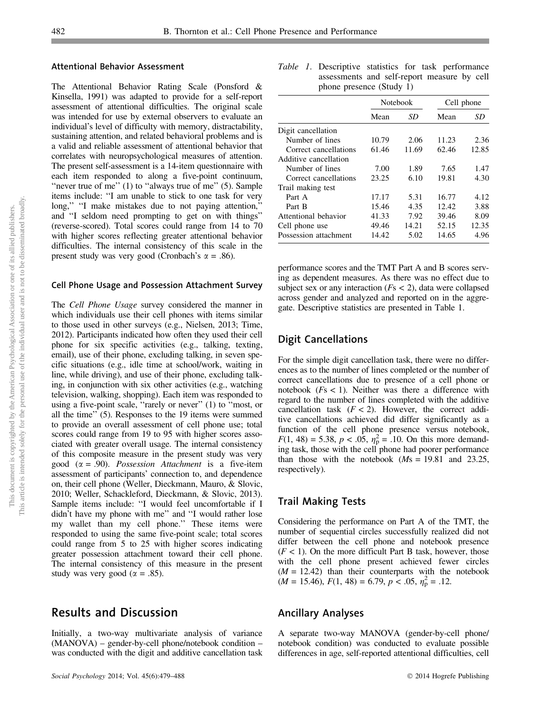#### Attentional Behavior Assessment

The Attentional Behavior Rating Scale (Ponsford & Kinsella, 1991) was adapted to provide for a self-report assessment of attentional difficulties. The original scale was intended for use by external observers to evaluate an individual's level of difficulty with memory, distractability, sustaining attention, and related behavioral problems and is a valid and reliable assessment of attentional behavior that correlates with neuropsychological measures of attention. The present self-assessment is a 14-item questionnaire with each item responded to along a five-point continuum, "never true of me" (1) to "always true of me" (5). Sample items include: ''I am unable to stick to one task for very long," "I make mistakes due to not paying attention," and ''I seldom need prompting to get on with things'' (reverse-scored). Total scores could range from 14 to 70 with higher scores reflecting greater attentional behavior difficulties. The internal consistency of this scale in the present study was very good (Cronbach's  $\alpha = .86$ ).

#### Cell Phone Usage and Possession Attachment Survey

The Cell Phone Usage survey considered the manner in which individuals use their cell phones with items similar to those used in other surveys (e.g., Nielsen, 2013; Time, 2012). Participants indicated how often they used their cell phone for six specific activities (e.g., talking, texting, email), use of their phone, excluding talking, in seven specific situations (e.g., idle time at school/work, waiting in line, while driving), and use of their phone, excluding talking, in conjunction with six other activities (e.g., watching television, walking, shopping). Each item was responded to using a five-point scale, ''rarely or never'' (1) to ''most, or all the time'' (5). Responses to the 19 items were summed to provide an overall assessment of cell phone use; total scores could range from 19 to 95 with higher scores associated with greater overall usage. The internal consistency of this composite measure in the present study was very good ( $\alpha$  = .90). Possession Attachment is a five-item assessment of participants' connection to, and dependence on, their cell phone (Weller, Dieckmann, Mauro, & Slovic, 2010; Weller, Schackleford, Dieckmann, & Slovic, 2013). Sample items include: ''I would feel uncomfortable if I didn't have my phone with me'' and ''I would rather lose my wallet than my cell phone.'' These items were responded to using the same five-point scale; total scores could range from 5 to 25 with higher scores indicating greater possession attachment toward their cell phone. The internal consistency of this measure in the present study was very good ( $\alpha = .85$ ).

## Results and Discussion

Initially, a two-way multivariate analysis of variance (MANOVA) – gender-by-cell phone/notebook condition – was conducted with the digit and additive cancellation task

Table 1. Descriptive statistics for task performance assessments and self-report measure by cell phone presence (Study 1)

|                       |       | <b>Notebook</b> | Cell phone |       |  |
|-----------------------|-------|-----------------|------------|-------|--|
|                       | Mean  | SD              | Mean       | SD    |  |
| Digit cancellation    |       |                 |            |       |  |
| Number of lines       | 10.79 | 2.06            | 11.23      | 2.36  |  |
| Correct cancellations | 61.46 | 11.69           | 62.46      | 12.85 |  |
| Additive cancellation |       |                 |            |       |  |
| Number of lines       | 7.00  | 1.89            | 7.65       | 1.47  |  |
| Correct cancellations | 23.25 | 6.10            | 19.81      | 4.30  |  |
| Trail making test     |       |                 |            |       |  |
| Part A                | 17.17 | 5.31            | 16.77      | 4.12  |  |
| Part B                | 15.46 | 4.35            | 12.42      | 3.88  |  |
| Attentional behavior  | 41.33 | 7.92            | 39.46      | 8.09  |  |
| Cell phone use        | 49.46 | 14.21           | 52.15      | 12.35 |  |
| Possession attachment | 14.42 | 5.02            | 14.65      | 4.96  |  |

performance scores and the TMT Part A and B scores serving as dependent measures. As there was no effect due to subject sex or any interaction ( $Fs < 2$ ), data were collapsed across gender and analyzed and reported on in the aggregate. Descriptive statistics are presented in Table 1.

#### Digit Cancellations

For the simple digit cancellation task, there were no differences as to the number of lines completed or the number of correct cancellations due to presence of a cell phone or notebook ( $Fs < 1$ ). Neither was there a difference with regard to the number of lines completed with the additive cancellation task  $(F < 2)$ . However, the correct additive cancellations achieved did differ significantly as a function of the cell phone presence versus notebook,  $F(1, 48) = 5.38, p < .05, \eta_{\rm p}^2 = .10$ . On this more demanding task, those with the cell phone had poorer performance than those with the notebook  $(Ms = 19.81$  and 23.25, respectively).

#### Trail Making Tests

Considering the performance on Part A of the TMT, the number of sequential circles successfully realized did not differ between the cell phone and notebook presence  $(F < 1)$ . On the more difficult Part B task, however, those with the cell phone present achieved fewer circles  $(M = 12.42)$  than their counterparts with the notebook  $(M = 15.46), F(1, 48) = 6.79, p < .05, \eta_{p}^{2} = .12.$ 

#### Ancillary Analyses

A separate two-way MANOVA (gender-by-cell phone/ notebook condition) was conducted to evaluate possible differences in age, self-reported attentional difficulties, cell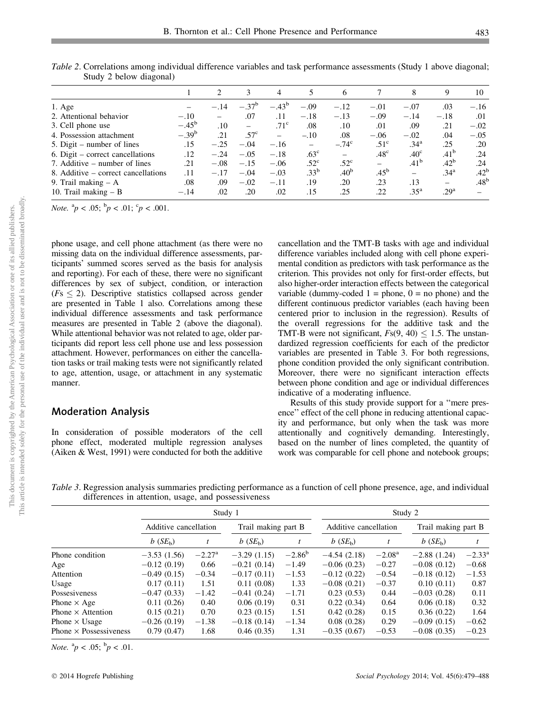|                                     |                | $\mathfrak{D}_{\mathfrak{p}}$ |                  | 4              | 5                | 6                |                  | 8                | 9                | 10               |
|-------------------------------------|----------------|-------------------------------|------------------|----------------|------------------|------------------|------------------|------------------|------------------|------------------|
| $1. \text{Age}$                     |                | $-.14$                        | $-.37^b$         | $-.43^{\rm b}$ | $-.09$           | $-.12$           | $-.01$           | $-.07$           | .03              | $-.16$           |
| 2. Attentional behavior             | $-.10$         |                               | .07              | .11            | $-.18$           | $-.13$           | $-.09$           | $-.14$           | $-.18$           | .01              |
| 3. Cell phone use                   | $-.45^{\rm b}$ | .10                           |                  | $.71^{\circ}$  | .08              | .10              | .01              | .09              | .21              | $-.02$           |
| 4. Possession attachment            | $-.39^{b}$     | .21                           | .57 <sup>c</sup> |                | $-.10$           | .08              | $-.06$           | $-.02$           | .04              | $-.05$           |
| 5. Digit – number of lines          | .15            | $-.25$                        | $-.04$           | $-.16$         | $\equiv$         | $-.74c$          | $.51^{\circ}$    | .34 <sup>a</sup> | .25              | .20              |
| 6. Digit – correct cancellations    | .12            | $-.24$                        | $-.05$           | $-.18$         | $.63^{\circ}$    | $\equiv$         | .48 <sup>c</sup> | .40 <sup>c</sup> | .41 <sup>b</sup> | .24              |
| 7. Additive – number of lines       | .21            | $-.08$                        | $-.15$           | $-.06$         | .52 <sup>c</sup> | $.52^{\circ}$    | $=$              | .41 <sup>b</sup> | .42 <sup>b</sup> | .24              |
| 8. Additive – correct cancellations | .11            | $-.17$                        | $-.04$           | $-.03$         | $.33^{b}$        | .40 <sup>b</sup> | $.45^{b}$        | -                | .34 <sup>a</sup> | .42 <sup>b</sup> |
| 9. Trail making $- A$               | .08            | .09                           | $-.02$           | $-.11$         | .19              | .20              | .23              | .13              | $\equiv$         | .48 <sup>b</sup> |
| 10. Trail making $- B$              | $-.14$         | .02                           | .20              | .02            | .15              | .25              | .22              | .35 <sup>a</sup> | .29 <sup>a</sup> |                  |

Table 2. Correlations among individual difference variables and task performance assessments (Study 1 above diagonal; Study 2 below diagonal)

*Note.*  ${}^{a}p < .05; {}^{b}p < .01; {}^{c}p < .001.$ 

phone usage, and cell phone attachment (as there were no missing data on the individual difference assessments, participants' summed scores served as the basis for analysis and reporting). For each of these, there were no significant differences by sex of subject, condition, or interaction  $(Fs \leq 2)$ . Descriptive statistics collapsed across gender are presented in Table 1 also. Correlations among these individual difference assessments and task performance measures are presented in Table 2 (above the diagonal). While attentional behavior was not related to age, older participants did report less cell phone use and less possession attachment. However, performances on either the cancellation tasks or trail making tests were not significantly related to age, attention, usage, or attachment in any systematic manner.

#### Moderation Analysis

In consideration of possible moderators of the cell phone effect, moderated multiple regression analyses (Aiken & West, 1991) were conducted for both the additive cancellation and the TMT-B tasks with age and individual difference variables included along with cell phone experimental condition as predictors with task performance as the criterion. This provides not only for first-order effects, but also higher-order interaction effects between the categorical variable (dummy-coded  $1 =$  phone,  $0 =$  no phone) and the different continuous predictor variables (each having been centered prior to inclusion in the regression). Results of the overall regressions for the additive task and the TMT-B were not significant,  $F<sub>s</sub>(9, 40) \le 1.5$ . The unstandardized regression coefficients for each of the predictor variables are presented in Table 3. For both regressions, phone condition provided the only significant contribution. Moreover, there were no significant interaction effects between phone condition and age or individual differences indicative of a moderating influence.

Results of this study provide support for a ''mere presence'' effect of the cell phone in reducing attentional capacity and performance, but only when the task was more attentionally and cognitively demanding. Interestingly, based on the number of lines completed, the quantity of work was comparable for cell phone and notebook groups;

Table 3. Regression analysis summaries predicting performance as a function of cell phone presence, age, and individual differences in attention, usage, and possessiveness

|                               | Study 1                |                 |                     |                 | Study 2               |                 |                     |                 |
|-------------------------------|------------------------|-----------------|---------------------|-----------------|-----------------------|-----------------|---------------------|-----------------|
|                               | Additive cancellation  |                 | Trail making part B |                 | Additive cancellation |                 | Trail making part B |                 |
|                               | $b$ (SE <sub>b</sub> ) |                 | $b(SE_h)$           |                 | $b(SE_h)$             |                 | $b(SE_h)$           |                 |
| Phone condition               | $-3.53(1.56)$          | $-2.27^{\rm a}$ | $-3.29(1.15)$       | $-2.86^{\rm b}$ | $-4.54(2.18)$         | $-2.08^{\rm a}$ | $-2.88(1.24)$       | $-2.33^{\rm a}$ |
| Age                           | $-0.12(0.19)$          | 0.66            | $-0.21(0.14)$       | $-1.49$         | $-0.06(0.23)$         | $-0.27$         | $-0.08(0.12)$       | $-0.68$         |
| Attention                     | $-0.49(0.15)$          | $-0.34$         | $-0.17(0.11)$       | $-1.53$         | $-0.12(0.22)$         | $-0.54$         | $-0.18(0.12)$       | $-1.53$         |
| Usage                         | 0.17(0.11)             | 1.51            | 0.11(0.08)          | 1.33            | $-0.08(0.21)$         | $-0.37$         | 0.10(0.11)          | 0.87            |
| Possesiveness                 | $-0.47(0.33)$          | $-1.42$         | $-0.41(0.24)$       | $-1.71$         | 0.23(0.53)            | 0.44            | $-0.03(0.28)$       | 0.11            |
| Phone $\times$ Age            | 0.11(0.26)             | 0.40            | 0.06(0.19)          | 0.31            | 0.22(0.34)            | 0.64            | 0.06(0.18)          | 0.32            |
| Phone $\times$ Attention      | 0.15(0.21)             | 0.70            | 0.23(0.15)          | 1.51            | 0.42(0.28)            | 0.15            | 0.36(0.22)          | 1.64            |
| Phone $\times$ Usage          | $-0.26(0.19)$          | $-1.38$         | $-0.18(0.14)$       | $-1.34$         | 0.08(0.28)            | 0.29            | $-0.09(0.15)$       | $-0.62$         |
| Phone $\times$ Possessiveness | 0.79(0.47)             | 1.68            | 0.46(0.35)          | 1.31            | $-0.35(0.67)$         | $-0.53$         | $-0.08(0.35)$       | $-0.23$         |

*Note.*  ${}^{a}p < .05; {}^{b}p < .01$ .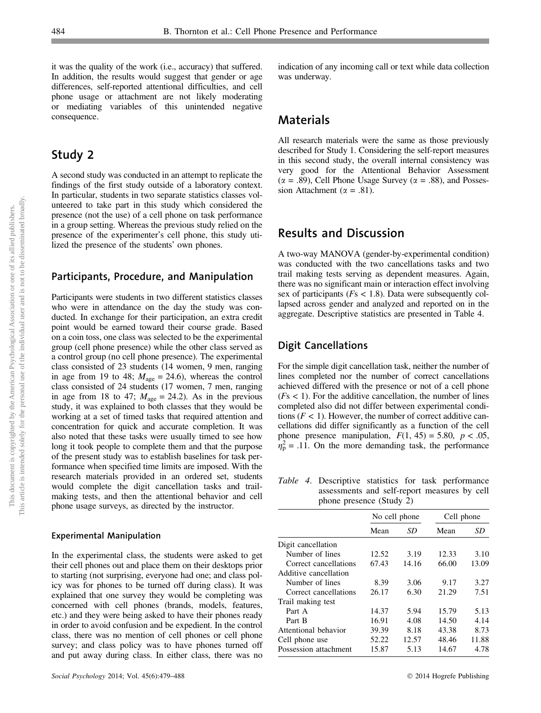it was the quality of the work (i.e., accuracy) that suffered. In addition, the results would suggest that gender or age differences, self-reported attentional difficulties, and cell phone usage or attachment are not likely moderating or mediating variables of this unintended negative consequence.

## Study 2

A second study was conducted in an attempt to replicate the findings of the first study outside of a laboratory context. In particular, students in two separate statistics classes volunteered to take part in this study which considered the presence (not the use) of a cell phone on task performance in a group setting. Whereas the previous study relied on the presence of the experimenter's cell phone, this study utilized the presence of the students' own phones.

#### Participants, Procedure, and Manipulation

Participants were students in two different statistics classes who were in attendance on the day the study was conducted. In exchange for their participation, an extra credit point would be earned toward their course grade. Based on a coin toss, one class was selected to be the experimental group (cell phone presence) while the other class served as a control group (no cell phone presence). The experimental class consisted of 23 students (14 women, 9 men, ranging in age from 19 to 48;  $M_{\text{age}} = 24.6$ ), whereas the control class consisted of 24 students (17 women, 7 men, ranging in age from 18 to 47;  $M_{\text{age}} = 24.2$ ). As in the previous study, it was explained to both classes that they would be working at a set of timed tasks that required attention and concentration for quick and accurate completion. It was also noted that these tasks were usually timed to see how long it took people to complete them and that the purpose of the present study was to establish baselines for task performance when specified time limits are imposed. With the research materials provided in an ordered set, students would complete the digit cancellation tasks and trailmaking tests, and then the attentional behavior and cell phone usage surveys, as directed by the instructor.

#### Experimental Manipulation

In the experimental class, the students were asked to get their cell phones out and place them on their desktops prior to starting (not surprising, everyone had one; and class policy was for phones to be turned off during class). It was explained that one survey they would be completing was concerned with cell phones (brands, models, features, etc.) and they were being asked to have their phones ready in order to avoid confusion and be expedient. In the control class, there was no mention of cell phones or cell phone survey; and class policy was to have phones turned off and put away during class. In either class, there was no indication of any incoming call or text while data collection was underway.

## Materials

All research materials were the same as those previously described for Study 1. Considering the self-report measures in this second study, the overall internal consistency was very good for the Attentional Behavior Assessment  $(\alpha = .89)$ , Cell Phone Usage Survey ( $\alpha = .88$ ), and Possession Attachment ( $\alpha = .81$ ).

## Results and Discussion

A two-way MANOVA (gender-by-experimental condition) was conducted with the two cancellations tasks and two trail making tests serving as dependent measures. Again, there was no significant main or interaction effect involving sex of participants ( $Fs < 1.8$ ). Data were subsequently collapsed across gender and analyzed and reported on in the aggregate. Descriptive statistics are presented in Table 4.

#### Digit Cancellations

For the simple digit cancellation task, neither the number of lines completed nor the number of correct cancellations achieved differed with the presence or not of a cell phone  $(Fs < 1)$ . For the additive cancellation, the number of lines completed also did not differ between experimental conditions  $(F < 1)$ . However, the number of correct additive cancellations did differ significantly as a function of the cell phone presence manipulation,  $F(1, 45) = 5.80$ ,  $p < .05$ ,  $n_p^2 = .11$ . On the more demanding task, the performance

Table 4. Descriptive statistics for task performance assessments and self-report measures by cell phone presence (Study 2)

|                       | No cell phone |       | Cell phone |       |  |
|-----------------------|---------------|-------|------------|-------|--|
|                       | Mean          | SD    | Mean       | SD    |  |
| Digit cancellation    |               |       |            |       |  |
| Number of lines       | 12.52         | 3.19  | 12.33      | 3.10  |  |
| Correct cancellations | 67.43         | 14.16 | 66.00      | 13.09 |  |
| Additive cancellation |               |       |            |       |  |
| Number of lines       | 8.39          | 3.06  | 9.17       | 3.27  |  |
| Correct cancellations | 26.17         | 6.30  | 21.29      | 7.51  |  |
| Trail making test     |               |       |            |       |  |
| Part A                | 14.37         | 5.94  | 15.79      | 5.13  |  |
| Part B                | 16.91         | 4.08  | 14.50      | 4.14  |  |
| Attentional behavior  | 39.39         | 8.18  | 43.38      | 8.73  |  |
| Cell phone use        | 52.22         | 12.57 | 48.46      | 11.88 |  |
| Possession attachment | 15.87         | 5.13  | 14.67      | 4.78  |  |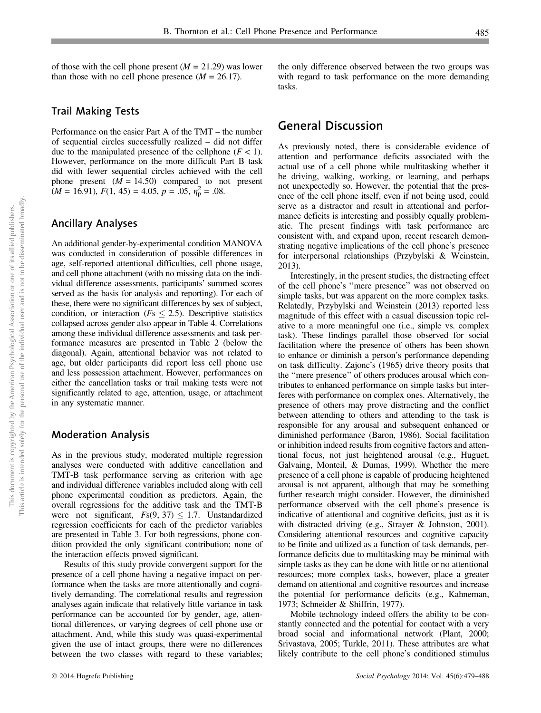of those with the cell phone present  $(M = 21.29)$  was lower than those with no cell phone presence  $(M = 26.17)$ .

#### Trail Making Tests

Performance on the easier Part A of the TMT – the number of sequential circles successfully realized – did not differ due to the manipulated presence of the cellphone  $(F < 1)$ . However, performance on the more difficult Part B task did with fewer sequential circles achieved with the cell phone present  $(M = 14.50)$  compared to not present  $(M = 16.91), F(1, 45) = 4.05, p = .05, \eta_{\rm p}^2 = .08.$ 

#### Ancillary Analyses

An additional gender-by-experimental condition MANOVA was conducted in consideration of possible differences in age, self-reported attentional difficulties, cell phone usage, and cell phone attachment (with no missing data on the individual difference assessments, participants' summed scores served as the basis for analysis and reporting). For each of these, there were no significant differences by sex of subject, condition, or interaction ( $Fs \leq 2.5$ ). Descriptive statistics collapsed across gender also appear in Table 4. Correlations among these individual difference assessments and task performance measures are presented in Table 2 (below the diagonal). Again, attentional behavior was not related to age, but older participants did report less cell phone use and less possession attachment. However, performances on either the cancellation tasks or trail making tests were not significantly related to age, attention, usage, or attachment in any systematic manner.

#### Moderation Analysis

As in the previous study, moderated multiple regression analyses were conducted with additive cancellation and TMT-B task performance serving as criterion with age and individual difference variables included along with cell phone experimental condition as predictors. Again, the overall regressions for the additive task and the TMT-B were not significant,  $F<sub>s</sub>(9, 37) \le 1.7$ . Unstandardized regression coefficients for each of the predictor variables are presented in Table 3. For both regressions, phone condition provided the only significant contribution; none of the interaction effects proved significant.

Results of this study provide convergent support for the presence of a cell phone having a negative impact on performance when the tasks are more attentionally and cognitively demanding. The correlational results and regression analyses again indicate that relatively little variance in task performance can be accounted for by gender, age, attentional differences, or varying degrees of cell phone use or attachment. And, while this study was quasi-experimental given the use of intact groups, there were no differences between the two classes with regard to these variables;

the only difference observed between the two groups was with regard to task performance on the more demanding tasks.

## General Discussion

As previously noted, there is considerable evidence of attention and performance deficits associated with the actual use of a cell phone while multitasking whether it be driving, walking, working, or learning, and perhaps not unexpectedly so. However, the potential that the presence of the cell phone itself, even if not being used, could serve as a distractor and result in attentional and performance deficits is interesting and possibly equally problematic. The present findings with task performance are consistent with, and expand upon, recent research demonstrating negative implications of the cell phone's presence for interpersonal relationships (Przybylski & Weinstein, 2013).

Interestingly, in the present studies, the distracting effect of the cell phone's ''mere presence'' was not observed on simple tasks, but was apparent on the more complex tasks. Relatedly, Przybylski and Weinstein (2013) reported less magnitude of this effect with a casual discussion topic relative to a more meaningful one (i.e., simple vs. complex task). These findings parallel those observed for social facilitation where the presence of others has been shown to enhance or diminish a person's performance depending on task difficulty. Zajonc's (1965) drive theory posits that the ''mere presence'' of others produces arousal which contributes to enhanced performance on simple tasks but interferes with performance on complex ones. Alternatively, the presence of others may prove distracting and the conflict between attending to others and attending to the task is responsible for any arousal and subsequent enhanced or diminished performance (Baron, 1986). Social facilitation or inhibition indeed results from cognitive factors and attentional focus, not just heightened arousal (e.g., Huguet, Galvaing, Monteil, & Dumas, 1999). Whether the mere presence of a cell phone is capable of producing heightened arousal is not apparent, although that may be something further research might consider. However, the diminished performance observed with the cell phone's presence is indicative of attentional and cognitive deficits, just as it is with distracted driving (e.g., Strayer & Johnston, 2001). Considering attentional resources and cognitive capacity to be finite and utilized as a function of task demands, performance deficits due to multitasking may be minimal with simple tasks as they can be done with little or no attentional resources; more complex tasks, however, place a greater demand on attentional and cognitive resources and increase the potential for performance deficits (e.g., Kahneman, 1973; Schneider & Shiffrin, 1977).

Mobile technology indeed offers the ability to be constantly connected and the potential for contact with a very broad social and informational network (Plant, 2000; Srivastava, 2005; Turkle, 2011). These attributes are what likely contribute to the cell phone's conditioned stimulus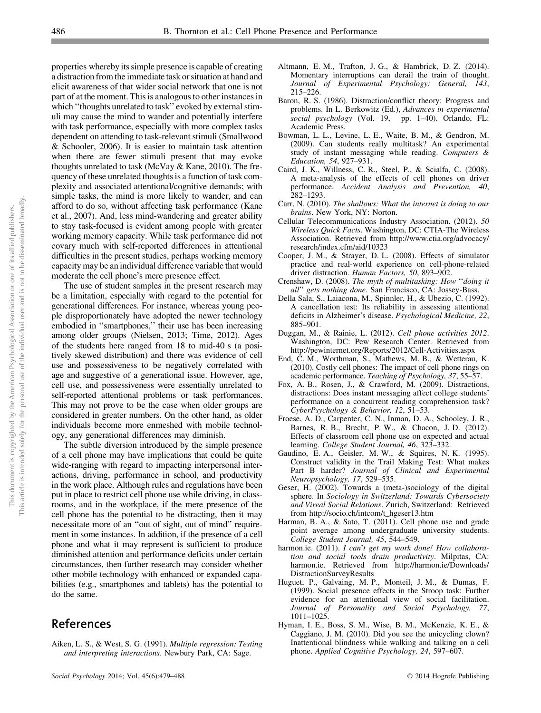This article is intended solely for the personal use of the individual user and is not to be disseminated broadly.This article is intended solely for the personal use of the individual user and is not to be disseminated broadly This document is copyrighted by the American Psychological Association or one of its allied publishers. This document is copyrighted by the American Psychological Association or one of its allied publishers.

properties whereby its simple presence is capable of creating a distraction from the immediate task or situation at hand and elicit awareness of that wider social network that one is not part of at the moment. This is analogous to other instances in which "thoughts unrelated to task" evoked by external stimuli may cause the mind to wander and potentially interfere with task performance, especially with more complex tasks dependent on attending to task-relevant stimuli (Smallwood & Schooler, 2006). It is easier to maintain task attention when there are fewer stimuli present that may evoke thoughts unrelated to task (McVay & Kane, 2010). The frequency of these unrelated thoughts is a function of task complexity and associated attentional/cognitive demands; with simple tasks, the mind is more likely to wander, and can afford to do so, without affecting task performance (Kane et al., 2007). And, less mind-wandering and greater ability to stay task-focused is evident among people with greater working memory capacity. While task performance did not covary much with self-reported differences in attentional difficulties in the present studies, perhaps working memory capacity may be an individual difference variable that would moderate the cell phone's mere presence effect.

The use of student samples in the present research may be a limitation, especially with regard to the potential for generational differences. For instance, whereas young people disproportionately have adopted the newer technology embodied in ''smartphones,'' their use has been increasing among older groups (Nielsen, 2013; Time, 2012). Ages of the students here ranged from 18 to mid-40 s (a positively skewed distribution) and there was evidence of cell use and possessiveness to be negatively correlated with age and suggestive of a generational issue. However, age, cell use, and possessiveness were essentially unrelated to self-reported attentional problems or task performances. This may not prove to be the case when older groups are considered in greater numbers. On the other hand, as older individuals become more enmeshed with mobile technology, any generational differences may diminish.

The subtle diversion introduced by the simple presence of a cell phone may have implications that could be quite wide-ranging with regard to impacting interpersonal interactions, driving, performance in school, and productivity in the work place. Although rules and regulations have been put in place to restrict cell phone use while driving, in classrooms, and in the workplace, if the mere presence of the cell phone has the potential to be distracting, then it may necessitate more of an ''out of sight, out of mind'' requirement in some instances. In addition, if the presence of a cell phone and what it may represent is sufficient to produce diminished attention and performance deficits under certain circumstances, then further research may consider whether other mobile technology with enhanced or expanded capabilities (e.g., smartphones and tablets) has the potential to do the same.

# References

Aiken, L. S., & West, S. G. (1991). Multiple regression: Testing and interpreting interactions. Newbury Park, CA: Sage.

- Altmann, E. M., Trafton, J. G., & Hambrick, D. Z. (2014). Momentary interruptions can derail the train of thought. Journal of Experimental Psychology: General, 143, 215–226.
- Baron, R. S. (1986). Distraction/conflict theory: Progress and problems. In L. Berkowitz (Ed.), Advances in experimental social psychology (Vol. 19, pp. 1–40). Orlando, FL: Academic Press.
- Bowman, L. L., Levine, L. E., Waite, B. M., & Gendron, M. (2009). Can students really multitask? An experimental study of instant messaging while reading. Computers & Education, 54, 927–931.
- Caird, J. K., Willness, C. R., Steel, P., & Scialfa, C. (2008). A meta-analysis of the effects of cell phones on driver performance. Accident Analysis and Prevention, 40, 282–1293.
- Carr, N. (2010). The shallows: What the internet is doing to our brains. New York, NY: Norton.
- Cellular Telecommunications Industry Association. (2012). 50 Wireless Quick Facts. Washington, DC: CTIA-The Wireless Association. Retrieved from http://www.ctia.org/advocacy/ research/index.cfm/aid/10323
- Cooper, J. M., & Strayer, D. L. (2008). Effects of simulator practice and real-world experience on cell-phone-related driver distraction. Human Factors, 50, 893–902.
- Crenshaw, D. (2008). The myth of multitasking: How ''doing it all'' gets nothing done. San Francisco, CA: Jossey-Bass.
- Della Sala, S., Laiacona, M., Spinnler, H., & Ubezio, C. (1992). A cancellation test: Its reliability in assessing attentional deficits in Alzheimer's disease. Psychological Medicine, 22, 885–901.
- Duggan, M., & Rainie, L. (2012). Cell phone activities 2012. Washington, DC: Pew Research Center. Retrieved from http://pewinternet.org/Reports/2012/Cell-Activities.aspx
- End, C. M., Worthman, S., Mathews, M. B., & Wetterau, K. (2010). Costly cell phones: The impact of cell phone rings on academic performance. Teaching of Psychology, 37, 55–57.
- Fox, A. B., Rosen, J., & Crawford, M. (2009). Distractions, distractions: Does instant messaging affect college students' performance on a concurrent reading comprehension task? CyberPsychology & Behavior, 12, 51–53.
- Froese, A. D., Carpenter, C. N., Inman, D. A., Schooley, J. R., Barnes, R. B., Brecht, P. W., & Chacon, J. D. (2012). Effects of classroom cell phone use on expected and actual learning. College Student Journal, 46, 323–332.
- Gaudino, E. A., Geisler, M. W., & Squires, N. K. (1995). Construct validity in the Trail Making Test: What makes Part B harder? Journal of Clinical and Experimental Neuropsychology, 17, 529–535.
- Geser, H. (2002). Towards a (meta-)sociology of the digital sphere. In Sociology in Switzerland: Towards Cybersociety and Vireal Social Relations. Zurich, Switzerland: Retrieved from http://socio.ch/intcom/t\_hgeser13.htm
- Harman, B. A., & Sato, T. (2011). Cell phone use and grade point average among undergraduate university students. College Student Journal, 45, 544–549.
- harmon.ie. (2011). I can't get my work done! How collaboration and social tools drain productivity. Milpitas, CA: harmon.ie. Retrieved from http://harmon.ie/Downloads/ DistractionSurveyResults
- Huguet, P., Galvaing, M. P., Monteil, J. M., & Dumas, F. (1999). Social presence effects in the Stroop task: Further evidence for an attentional view of social facilitation. Journal of Personality and Social Psychology, 77, 1011–1025.
- Hyman, I. E., Boss, S. M., Wise, B. M., McKenzie, K. E., & Caggiano, J. M. (2010). Did you see the unicycling clown? Inattentional blindness while walking and talking on a cell phone. Applied Cognitive Psychology, 24, 597–607.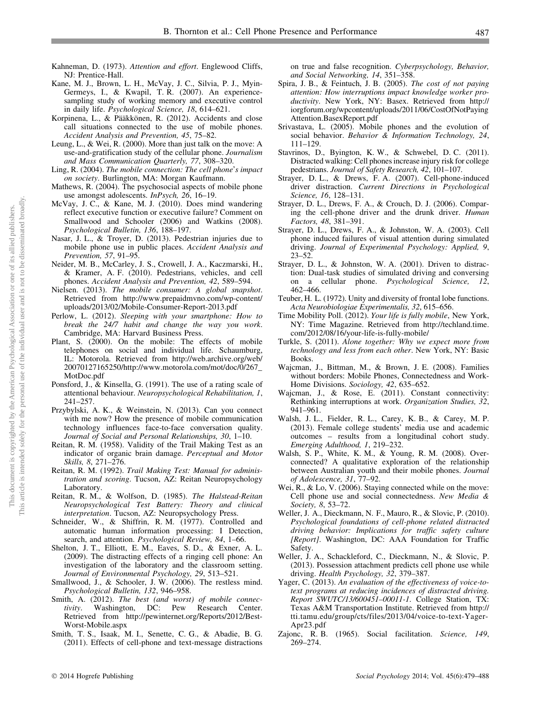- Kahneman, D. (1973). Attention and effort. Englewood Cliffs, NJ: Prentice-Hall.
- Kane, M. J., Brown, L. H., McVay, J. C., Silvia, P. J., Myin-Germeys, I., & Kwapil, T. R. (2007). An experiencesampling study of working memory and executive control in daily life. Psychological Science, 18, 614–621.
- Korpinena, L., & Pääkkönen, R. (2012). Accidents and close call situations connected to the use of mobile phones. Accident Analysis and Prevention, 45, 75–82.
- Leung, L., & Wei, R. (2000). More than just talk on the move: A use-and-gratification study of the cellular phone. Journalism and Mass Communication Quarterly, 77, 308–320.
- Ling, R. (2004). The mobile connection: The cell phone's impact on society. Burlington, MA: Morgan Kaufmann.
- Mathews, R. (2004). The psychosocial aspects of mobile phone use amongst adolescents. InPsych, 26, 16–19.
- McVay, J. C., & Kane, M. J. (2010). Does mind wandering reflect executive function or executive failure? Comment on Smallwood and Schooler (2006) and Watkins (2008). Psychological Bulletin, 136, 188–197.
- Nasar, J. L., & Troyer, D. (2013). Pedestrian injuries due to mobile phone use in public places. Accident Analysis and Prevention, 57, 91–95.
- Neider, M. B., McCarley, J. S., Crowell, J. A., Kaczmarski, H., & Kramer, A. F. (2010). Pedestrians, vehicles, and cell phones. Accident Analysis and Prevention, 42, 589–594.
- Nielsen. (2013). The mobile consumer: A global snapshot. Retrieved from http://www.prepaidmvno.com/wp-content/ uploads/2013/02/Mobile-Consumer-Report-2013.pdf
- Perlow, L. (2012). Sleeping with your smartphone: How to break the 24/7 habit and change the way you work. Cambridge, MA: Harvard Business Press.
- Plant, S. (2000). On the mobile: The effects of mobile telephones on social and individual life. Schaumburg, IL: Motorola. Retrieved from http://web.archive.org/web/ 20070127165250/http://www.motorola.com/mot/doc/0/267\_ MotDoc.pdf
- Ponsford, J., & Kinsella, G. (1991). The use of a rating scale of attentional behaviour. Neuropsychological Rehabilitation, 1, 241–257.
- Przybylski, A. K., & Weinstein, N. (2013). Can you connect with me now? How the presence of mobile communication technology influences face-to-face conversation quality. Journal of Social and Personal Relationships, 30, 1–10.
- Reitan, R. M. (1958). Validity of the Trail Making Test as an indicator of organic brain damage. Perceptual and Motor Skills, 8, 271–276.
- Reitan, R. M. (1992). Trail Making Test: Manual for administration and scoring. Tucson, AZ: Reitan Neuropsychology Laboratory.
- Reitan, R. M., & Wolfson, D. (1985). The Halstead-Reitan Neuropsychological Test Battery: Theory and clinical interpretation. Tucson, AZ: Neuropsychology Press.
- Schneider, W., & Shiffrin, R. M. (1977). Controlled and automatic human information processing: I Detection, search, and attention. Psychological Review, 84, 1-66.
- Shelton, J. T., Elliott, E. M., Eaves, S. D., & Exner, A. L. (2009). The distracting effects of a ringing cell phone: An investigation of the laboratory and the classroom setting. Journal of Environmental Psychology, 29, 513–521.
- Smallwood, J., & Schooler, J. W. (2006). The restless mind. Psychological Bulletin, 132, 946–958.
- Smith, A. (2012). The best (and worst) of mobile connectivity. Washington, DC: Pew Research Center. Retrieved from http://pewinternet.org/Reports/2012/Best-Worst-Mobile.aspx
- Smith, T. S., Isaak, M. I., Senette, C. G., & Abadie, B. G. (2011). Effects of cell-phone and text-message distractions

on true and false recognition. Cyberpsychology, Behavior, and Social Networking, 14, 351–358.

- Spira, J. B., & Feintuch, J. B. (2005). The cost of not paying attention: How interruptions impact knowledge worker productivity. New York, NY: Basex. Retrieved from http:// iorgforum.org/wpcontent/uploads/2011/06/CostOfNotPaying Attention.BasexReport.pdf
- Srivastava, L. (2005). Mobile phones and the evolution of social behavior. Behavior & Information Technology, 24, 111–129.
- Stavrinos, D., Byington, K. W., & Schwebel, D. C. (2011). Distracted walking: Cell phones increase injury risk for college pedestrians. Journal of Safety Research, 42, 101–107.
- Strayer, D. L., & Drews, F. A. (2007). Cell-phone-induced driver distraction. Current Directions in Psychological Science, 16, 128–131.
- Strayer, D. L., Drews, F. A., & Crouch, D. J. (2006). Comparing the cell-phone driver and the drunk driver. Human Factors, 48, 381–391.
- Strayer, D. L., Drews, F. A., & Johnston, W. A. (2003). Cell phone induced failures of visual attention during simulated driving. Journal of Experimental Psychology: Applied, 9, 23–52.
- Strayer, D. L., & Johnston, W. A. (2001). Driven to distraction: Dual-task studies of simulated driving and conversing on a cellular phone. Psychological Science, 12, 462–466.
- Teuber, H. L. (1972). Unity and diversity of frontal lobe functions. Acta Neurobiologiae Experimentalis, 32, 615–656.
- Time Mobility Poll. (2012). Your life is fully mobile, New York, NY: Time Magazine. Retrieved from http://techland.time. com/2012/08/16/your-life-is-fully-mobile/
- Turkle, S. (2011). Alone together: Why we expect more from technology and less from each other. New York, NY: Basic Books.
- Wajcman, J., Bittman, M., & Brown, J. E. (2008). Families without borders: Mobile Phones, Connectedness and Work-Home Divisions. Sociology, 42, 635–652.
- Wajcman, J., & Rose, E. (2011). Constant connectivity: Rethinking interruptions at work. Organization Studies, 32, 941–961.
- Walsh, J. L., Fielder, R. L., Carey, K. B., & Carey, M. P. (2013). Female college students' media use and academic outcomes – results from a longitudinal cohort study. Emerging Adulthood, 1, 219–232.
- Walsh, S. P., White, K. M., & Young, R. M. (2008). Overconnected? A qualitative exploration of the relationship between Australian youth and their mobile phones. Journal of Adolescence, 31, 77–92.
- Wei, R., & Lo, V. (2006). Staying connected while on the move: Cell phone use and social connectedness. New Media & Society, 8, 53–72.
- Weller, J. A., Dieckmann, N. F., Mauro, R., & Slovic, P. (2010). Psychological foundations of cell-phone related distracted driving behavior: Implications for traffic safety culture [Report]. Washington, DC: AAA Foundation for Traffic Safety.
- Weller, J. A., Schackleford, C., Dieckmann, N., & Slovic, P. (2013). Possession attachment predicts cell phone use while driving. Health Psychology, 32, 379–387.
- Yager, C. (2013). An evaluation of the effectiveness of voice-totext programs at reducing incidences of distracted driving. Report SWUTC/13/600451–00011-1. College Station, TX: Texas A&M Transportation Institute. Retrieved from http:// tti.tamu.edu/group/cts/files/2013/04/voice-to-text-Yager-Apr23.pdf
- Zajonc, R. B. (1965). Social facilitation. Science, 149, 269–274.